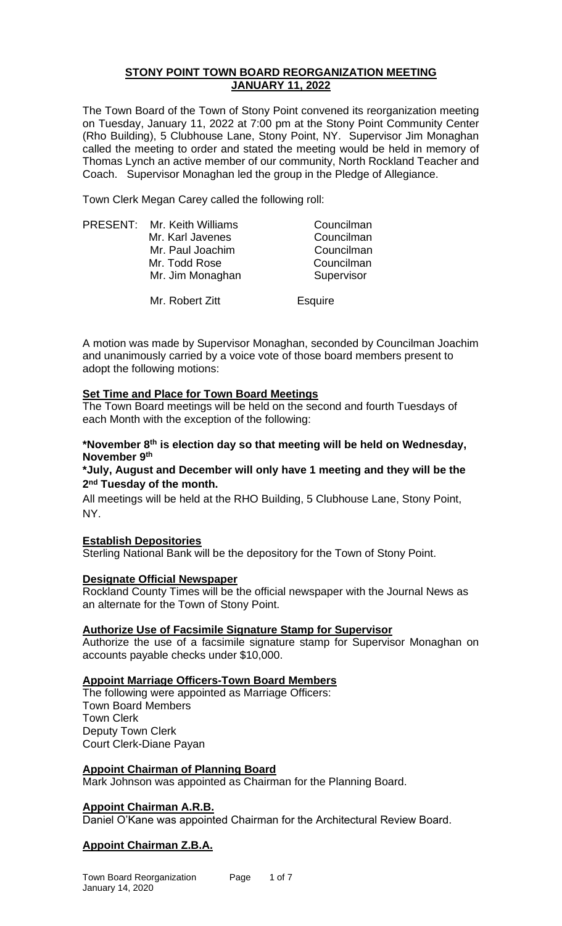### **STONY POINT TOWN BOARD REORGANIZATION MEETING JANUARY 11, 2022**

The Town Board of the Town of Stony Point convened its reorganization meeting on Tuesday, January 11, 2022 at 7:00 pm at the Stony Point Community Center (Rho Building), 5 Clubhouse Lane, Stony Point, NY. Supervisor Jim Monaghan called the meeting to order and stated the meeting would be held in memory of Thomas Lynch an active member of our community, North Rockland Teacher and Coach. Supervisor Monaghan led the group in the Pledge of Allegiance.

Town Clerk Megan Carey called the following roll:

|  | PRESENT: Mr. Keith Williams | Councilman     |
|--|-----------------------------|----------------|
|  | Mr. Karl Javenes            | Councilman     |
|  | Mr. Paul Joachim            | Councilman     |
|  | Mr. Todd Rose               | Councilman     |
|  | Mr. Jim Monaghan            | Supervisor     |
|  | Mr. Robert Zitt             | <b>Esquire</b> |

A motion was made by Supervisor Monaghan, seconded by Councilman Joachim and unanimously carried by a voice vote of those board members present to adopt the following motions:

### **Set Time and Place for Town Board Meetings**

The Town Board meetings will be held on the second and fourth Tuesdays of each Month with the exception of the following:

### **\*November 8th is election day so that meeting will be held on Wednesday, November 9th**

## **\*July, August and December will only have 1 meeting and they will be the 2 nd Tuesday of the month.**

All meetings will be held at the RHO Building, 5 Clubhouse Lane, Stony Point, NY.

## **Establish Depositories**

Sterling National Bank will be the depository for the Town of Stony Point.

## **Designate Official Newspaper**

Rockland County Times will be the official newspaper with the Journal News as an alternate for the Town of Stony Point.

#### **Authorize Use of Facsimile Signature Stamp for Supervisor**

Authorize the use of a facsimile signature stamp for Supervisor Monaghan on accounts payable checks under \$10,000.

### **Appoint Marriage Officers-Town Board Members**

The following were appointed as Marriage Officers: Town Board Members Town Clerk Deputy Town Clerk Court Clerk-Diane Payan

#### **Appoint Chairman of Planning Board**

Mark Johnson was appointed as Chairman for the Planning Board.

## **Appoint Chairman A.R.B.**

Daniel O'Kane was appointed Chairman for the Architectural Review Board.

## **Appoint Chairman Z.B.A.**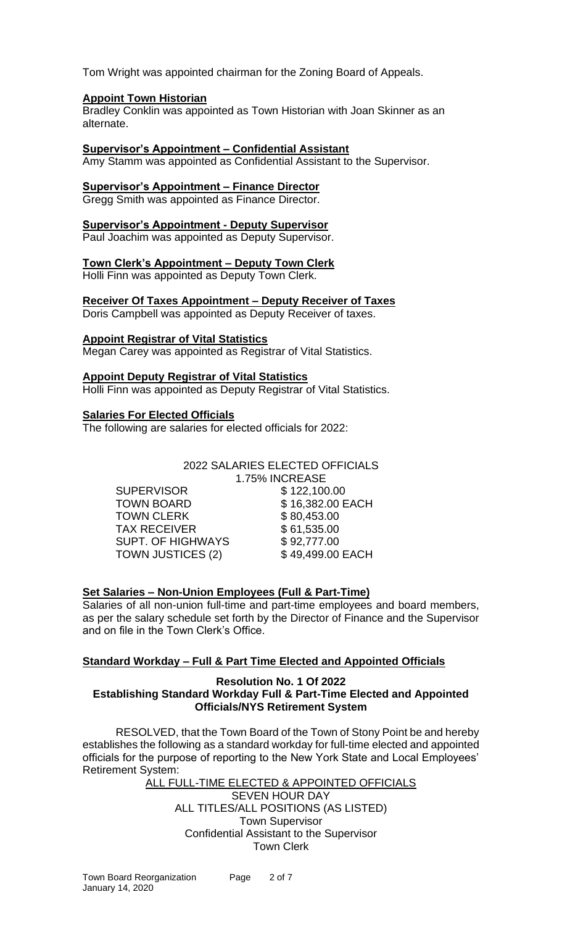Tom Wright was appointed chairman for the Zoning Board of Appeals.

### **Appoint Town Historian**

Bradley Conklin was appointed as Town Historian with Joan Skinner as an alternate.

### **Supervisor's Appointment – Confidential Assistant**

Amy Stamm was appointed as Confidential Assistant to the Supervisor.

#### **Supervisor's Appointment – Finance Director**

Gregg Smith was appointed as Finance Director.

#### **Supervisor's Appointment - Deputy Supervisor**

Paul Joachim was appointed as Deputy Supervisor.

#### **Town Clerk's Appointment – Deputy Town Clerk**

Holli Finn was appointed as Deputy Town Clerk.

### **Receiver Of Taxes Appointment – Deputy Receiver of Taxes**

Doris Campbell was appointed as Deputy Receiver of taxes.

#### **Appoint Registrar of Vital Statistics**

Megan Carey was appointed as Registrar of Vital Statistics.

#### **Appoint Deputy Registrar of Vital Statistics**

Holli Finn was appointed as Deputy Registrar of Vital Statistics.

#### **Salaries For Elected Officials**

The following are salaries for elected officials for 2022:

## 2022 SALARIES ELECTED OFFICIALS

SUPERVISOR \$122,100.00 TOWN BOARD \$16,382.00 EACH TOWN CLERK \$80,453.00 TAX RECEIVER \$61,535.00 SUPT. OF HIGHWAYS  $$ 92,777.00$ TOWN JUSTICES (2) \$49,499.00 EACH

1.75% INCREASE

#### **Set Salaries – Non-Union Employees (Full & Part-Time)**

Salaries of all non-union full-time and part-time employees and board members, as per the salary schedule set forth by the Director of Finance and the Supervisor and on file in the Town Clerk's Office.

#### **Standard Workday – Full & Part Time Elected and Appointed Officials**

#### **Resolution No. 1 Of 2022 Establishing Standard Workday Full & Part-Time Elected and Appointed Officials/NYS Retirement System**

RESOLVED, that the Town Board of the Town of Stony Point be and hereby establishes the following as a standard workday for full-time elected and appointed officials for the purpose of reporting to the New York State and Local Employees' Retirement System:

ALL FULL-TIME ELECTED & APPOINTED OFFICIALS SEVEN HOUR DAY ALL TITLES/ALL POSITIONS (AS LISTED) Town Supervisor Confidential Assistant to the Supervisor Town Clerk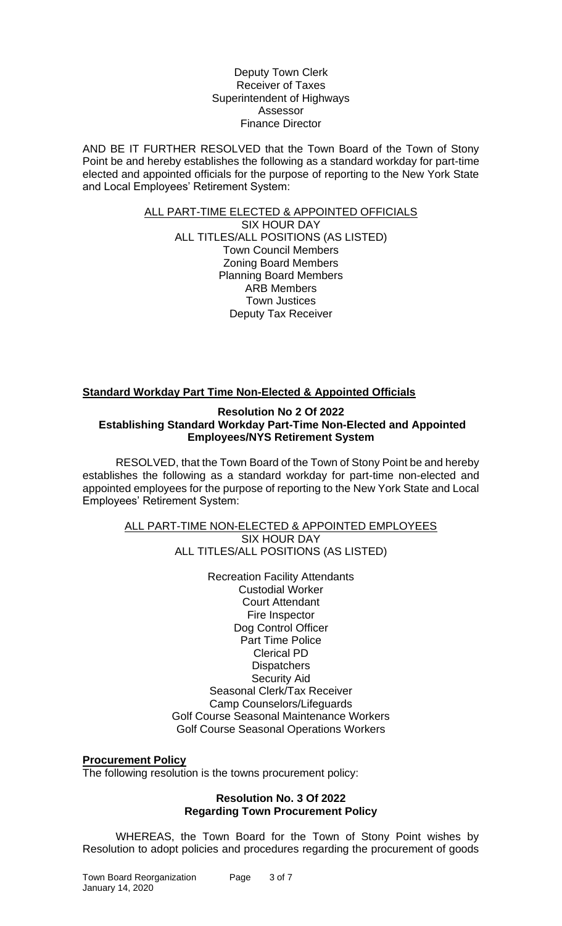Deputy Town Clerk Receiver of Taxes Superintendent of Highways Assessor Finance Director

AND BE IT FURTHER RESOLVED that the Town Board of the Town of Stony Point be and hereby establishes the following as a standard workday for part-time elected and appointed officials for the purpose of reporting to the New York State and Local Employees' Retirement System:

> ALL PART-TIME ELECTED & APPOINTED OFFICIALS SIX HOUR DAY ALL TITLES/ALL POSITIONS (AS LISTED) Town Council Members Zoning Board Members Planning Board Members ARB Members Town Justices Deputy Tax Receiver

## **Standard Workday Part Time Non-Elected & Appointed Officials**

#### **Resolution No 2 Of 2022 Establishing Standard Workday Part-Time Non-Elected and Appointed Employees/NYS Retirement System**

RESOLVED, that the Town Board of the Town of Stony Point be and hereby establishes the following as a standard workday for part-time non-elected and appointed employees for the purpose of reporting to the New York State and Local Employees' Retirement System:

## ALL PART-TIME NON-ELECTED & APPOINTED EMPLOYEES SIX HOUR DAY ALL TITLES/ALL POSITIONS (AS LISTED)

Recreation Facility Attendants Custodial Worker Court Attendant Fire Inspector Dog Control Officer Part Time Police Clerical PD **Dispatchers** Security Aid Seasonal Clerk/Tax Receiver Camp Counselors/Lifeguards Golf Course Seasonal Maintenance Workers Golf Course Seasonal Operations Workers

## **Procurement Policy**

The following resolution is the towns procurement policy:

### **Resolution No. 3 Of 2022 Regarding Town Procurement Policy**

WHEREAS, the Town Board for the Town of Stony Point wishes by Resolution to adopt policies and procedures regarding the procurement of goods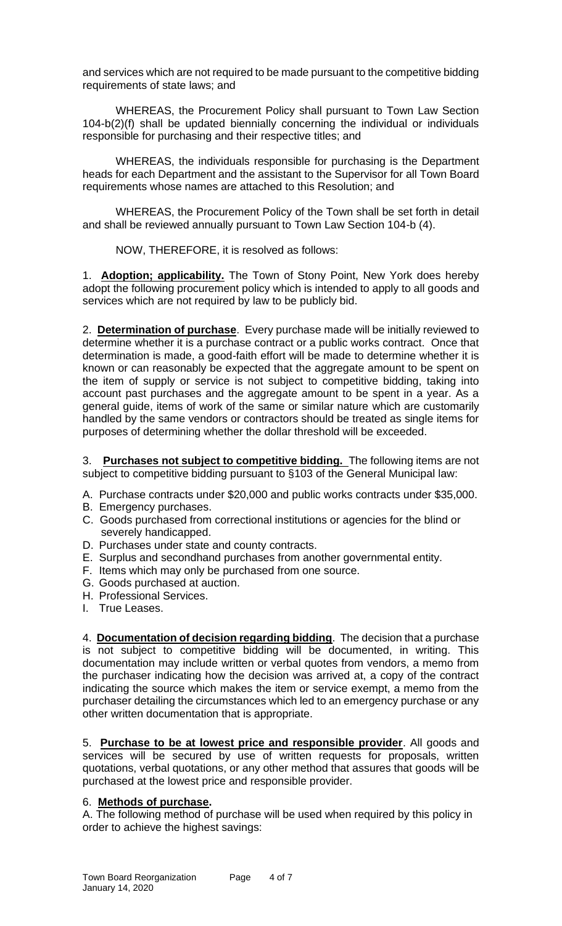and services which are not required to be made pursuant to the competitive bidding requirements of state laws; and

WHEREAS, the Procurement Policy shall pursuant to Town Law Section 104-b(2)(f) shall be updated biennially concerning the individual or individuals responsible for purchasing and their respective titles; and

WHEREAS, the individuals responsible for purchasing is the Department heads for each Department and the assistant to the Supervisor for all Town Board requirements whose names are attached to this Resolution; and

WHEREAS, the Procurement Policy of the Town shall be set forth in detail and shall be reviewed annually pursuant to Town Law Section 104-b (4).

NOW, THEREFORE, it is resolved as follows:

1. **Adoption; applicability.** The Town of Stony Point, New York does hereby adopt the following procurement policy which is intended to apply to all goods and services which are not required by law to be publicly bid.

2. **Determination of purchase**. Every purchase made will be initially reviewed to determine whether it is a purchase contract or a public works contract. Once that determination is made, a good-faith effort will be made to determine whether it is known or can reasonably be expected that the aggregate amount to be spent on the item of supply or service is not subject to competitive bidding, taking into account past purchases and the aggregate amount to be spent in a year. As a general guide, items of work of the same or similar nature which are customarily handled by the same vendors or contractors should be treated as single items for purposes of determining whether the dollar threshold will be exceeded.

3. **Purchases not subject to competitive bidding.** The following items are not subject to competitive bidding pursuant to §103 of the General Municipal law:

- A. Purchase contracts under \$20,000 and public works contracts under \$35,000.
- B. Emergency purchases.
- C. Goods purchased from correctional institutions or agencies for the blind or severely handicapped.
- D. Purchases under state and county contracts.
- E. Surplus and secondhand purchases from another governmental entity.
- F. Items which may only be purchased from one source.
- G. Goods purchased at auction.
- H. Professional Services.
- I. True Leases.

4. **Documentation of decision regarding bidding**. The decision that a purchase is not subject to competitive bidding will be documented, in writing. This documentation may include written or verbal quotes from vendors, a memo from the purchaser indicating how the decision was arrived at, a copy of the contract indicating the source which makes the item or service exempt, a memo from the purchaser detailing the circumstances which led to an emergency purchase or any other written documentation that is appropriate.

5. **Purchase to be at lowest price and responsible provider**. All goods and services will be secured by use of written requests for proposals, written quotations, verbal quotations, or any other method that assures that goods will be purchased at the lowest price and responsible provider.

## 6. **Methods of purchase.**

A. The following method of purchase will be used when required by this policy in order to achieve the highest savings: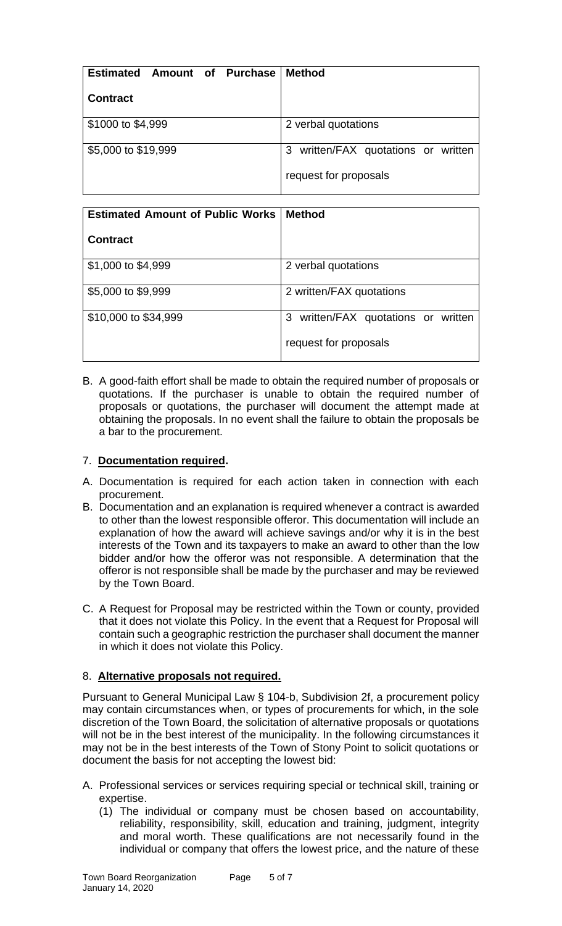| <b>Estimated Amount of Purchase</b> | <b>Method</b>                                                   |
|-------------------------------------|-----------------------------------------------------------------|
| <b>Contract</b>                     |                                                                 |
| \$1000 to \$4,999                   | 2 verbal quotations                                             |
| \$5,000 to \$19,999                 | written/FAX quotations or written<br>3<br>request for proposals |

| <b>Estimated Amount of Public Works</b> | <b>Method</b>                          |
|-----------------------------------------|----------------------------------------|
| <b>Contract</b>                         |                                        |
| \$1,000 to \$4,999                      | 2 verbal quotations                    |
| \$5,000 to \$9,999                      | 2 written/FAX quotations               |
| \$10,000 to \$34,999                    | written/FAX quotations or written<br>3 |
|                                         | request for proposals                  |

B. A good-faith effort shall be made to obtain the required number of proposals or quotations. If the purchaser is unable to obtain the required number of proposals or quotations, the purchaser will document the attempt made at obtaining the proposals. In no event shall the failure to obtain the proposals be a bar to the procurement.

# 7. **Documentation required.**

- A. Documentation is required for each action taken in connection with each procurement.
- B. Documentation and an explanation is required whenever a contract is awarded to other than the lowest responsible offeror. This documentation will include an explanation of how the award will achieve savings and/or why it is in the best interests of the Town and its taxpayers to make an award to other than the low bidder and/or how the offeror was not responsible. A determination that the offeror is not responsible shall be made by the purchaser and may be reviewed by the Town Board.
- C. A Request for Proposal may be restricted within the Town or county, provided that it does not violate this Policy. In the event that a Request for Proposal will contain such a geographic restriction the purchaser shall document the manner in which it does not violate this Policy.

## 8. **Alternative proposals not required.**

Pursuant to General Municipal Law § 104-b, Subdivision 2f, a procurement policy may contain circumstances when, or types of procurements for which, in the sole discretion of the Town Board, the solicitation of alternative proposals or quotations will not be in the best interest of the municipality. In the following circumstances it may not be in the best interests of the Town of Stony Point to solicit quotations or document the basis for not accepting the lowest bid:

- A. Professional services or services requiring special or technical skill, training or expertise.
	- (1) The individual or company must be chosen based on accountability, reliability, responsibility, skill, education and training, judgment, integrity and moral worth. These qualifications are not necessarily found in the individual or company that offers the lowest price, and the nature of these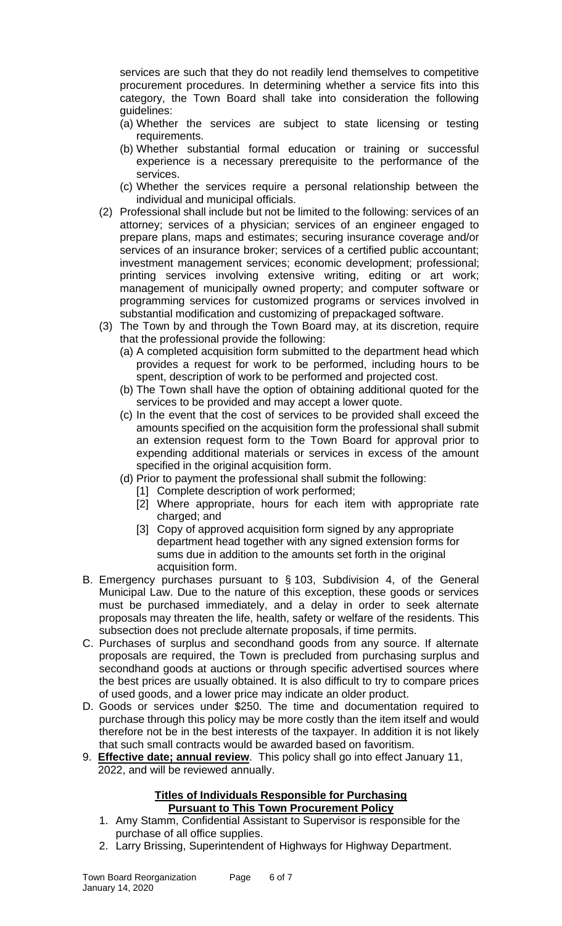services are such that they do not readily lend themselves to competitive procurement procedures. In determining whether a service fits into this category, the Town Board shall take into consideration the following guidelines:

- (a) Whether the services are subject to state licensing or testing requirements.
- (b) Whether substantial formal education or training or successful experience is a necessary prerequisite to the performance of the services.
- (c) Whether the services require a personal relationship between the individual and municipal officials.
- (2) Professional shall include but not be limited to the following: services of an attorney; services of a physician; services of an engineer engaged to prepare plans, maps and estimates; securing insurance coverage and/or services of an insurance broker; services of a certified public accountant; investment management services; economic development; professional; printing services involving extensive writing, editing or art work; management of municipally owned property; and computer software or programming services for customized programs or services involved in substantial modification and customizing of prepackaged software.
- (3) The Town by and through the Town Board may, at its discretion, require that the professional provide the following:
	- (a) A completed acquisition form submitted to the department head which provides a request for work to be performed, including hours to be spent, description of work to be performed and projected cost.
	- (b) The Town shall have the option of obtaining additional quoted for the services to be provided and may accept a lower quote.
	- (c) In the event that the cost of services to be provided shall exceed the amounts specified on the acquisition form the professional shall submit an extension request form to the Town Board for approval prior to expending additional materials or services in excess of the amount specified in the original acquisition form.
	- (d) Prior to payment the professional shall submit the following:
		- [1] Complete description of work performed;
		- [2] Where appropriate, hours for each item with appropriate rate charged; and
		- [3] Copy of approved acquisition form signed by any appropriate department head together with any signed extension forms for sums due in addition to the amounts set forth in the original acquisition form.
- B. Emergency purchases pursuant to § 103, Subdivision 4, of the General Municipal Law. Due to the nature of this exception, these goods or services must be purchased immediately, and a delay in order to seek alternate proposals may threaten the life, health, safety or welfare of the residents. This subsection does not preclude alternate proposals, if time permits.
- C. Purchases of surplus and secondhand goods from any source. If alternate proposals are required, the Town is precluded from purchasing surplus and secondhand goods at auctions or through specific advertised sources where the best prices are usually obtained. It is also difficult to try to compare prices of used goods, and a lower price may indicate an older product.
- D. Goods or services under \$250. The time and documentation required to purchase through this policy may be more costly than the item itself and would therefore not be in the best interests of the taxpayer. In addition it is not likely that such small contracts would be awarded based on favoritism.
- 9. **Effective date; annual review**. This policy shall go into effect January 11, 2022, and will be reviewed annually.

#### **Titles of Individuals Responsible for Purchasing Pursuant to This Town Procurement Policy**

- 1. Amy Stamm, Confidential Assistant to Supervisor is responsible for the purchase of all office supplies.
- 2. Larry Brissing, Superintendent of Highways for Highway Department.